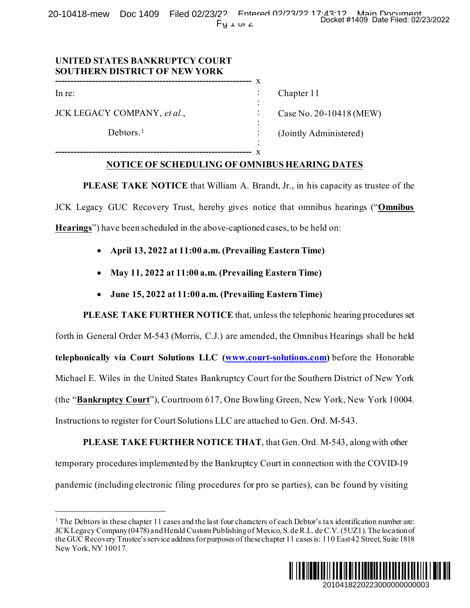20-10418-mew Doc 1409 Filed 02/23/22 Entered 02/23/22 17:43:12 Main Document  $Py \perp w \perp 2$ 

> : : : : : :

## **UNITED STATES BANKRUPTCY COURT SOUTHERN DISTRICT OF NEW YORK**

**----------------------------------------------------------------** x

**----------------------------------------------------------------** x

In re:

JCK LEGACY COMPANY, *et al.*,

Debtors.<sup>[1](#page-0-0)</sup>

Chapter 11

Case No. 20-10418 (MEW)

(Jointly Administered)

## **NOTICE OF SCHEDULING OF OMNIBUS HEARING DATES**

**PLEASE TAKE NOTICE** that William A. Brandt, Jr., in his capacity as trustee of the JCK Legacy GUC Recovery Trust, hereby gives notice that omnibus hearings ("**Omnibus Hearings**") have been scheduled in the above-captioned cases, to be held on:

- **April 13, 2022 at 11:00 a.m. (Prevailing Eastern Time)**
- **May 11, 2022 at 11:00 a.m. (Prevailing Eastern Time)**
- **June 15, 2022 at 11:00 a.m. (Prevailing Eastern Time)**

**PLEASE TAKE FURTHER NOTICE** that, unless the telephonic hearing procedures set forth in General Order M-543 (Morris, C.J.) are amended, the Omnibus Hearings shall be held **telephonically via Court Solutions LLC [\(www.court-solutions.com\)](http://www.court-solutions.com/)** before the Honorable Michael E. Wiles in the United States Bankruptcy Court for the Southern District of New York (the "**Bankruptcy Court**"), Courtroom 617, One Bowling Green, New York, New York 10004. Instructions to register for Court Solutions LLC are attached to Gen. Ord. M-543. 2010418220223000000000003 Docket #1409 Date Filed: 02/23/2022

**PLEASE TAKE FURTHER NOTICE THAT**, that Gen. Ord. M-543, along with other temporary procedures implemented by the Bankruptcy Court in connection with the COVID-19 pandemic (including electronic filing procedures for pro se parties), can be found by visiting

<span id="page-0-0"></span> $1$  The Debtors in these chapter 11 cases and the last four characters of each Debtor's tax identification number are: JCK Legacy Company (0478) and Herald Custom Publishing of Mexico, S. de R.L. de C.V. (5UZ1). The location of the GUC Recovery Trustee's service address for purposes of these chapter 11 cases is: 110 East 42 Street, Suite 1818 New York, NY 10017.